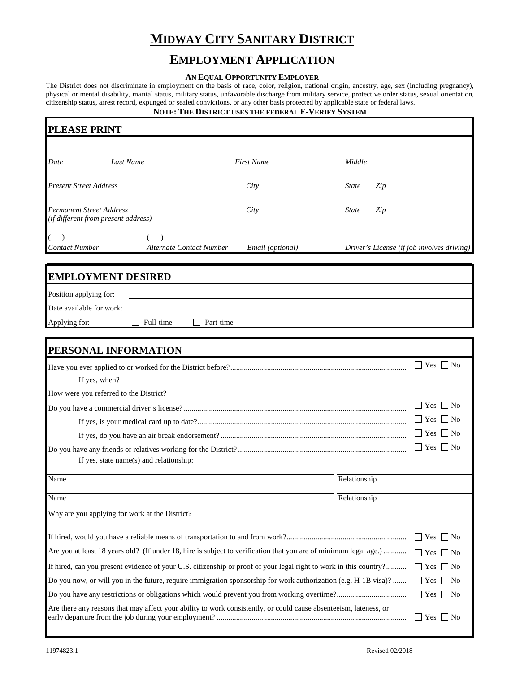# **MIDWAY CITY SANITARY DISTRICT**

## **EMPLOYMENT APPLICATION**

#### **AN EQUAL OPPORTUNITY EMPLOYER**

The District does not discriminate in employment on the basis of race, color, religion, national origin, ancestry, age, sex (including pregnancy), physical or mental disability, marital status, military status, unfavorable discharge from military service, protective order status, sexual orientation, citizenship status, arrest record, expunged or sealed convictions, or any other basis protected by applicable state or federal laws.

#### **NOTE: THE DISTRICT USES THE FEDERAL E-VERIFY SYSTEM**

| <b>PLEASE PRINT</b>                                                                                                                     |                                                                                                                   |                                                                                                                        |              |                      |                                            |
|-----------------------------------------------------------------------------------------------------------------------------------------|-------------------------------------------------------------------------------------------------------------------|------------------------------------------------------------------------------------------------------------------------|--------------|----------------------|--------------------------------------------|
|                                                                                                                                         |                                                                                                                   |                                                                                                                        |              |                      |                                            |
| Date                                                                                                                                    | Last Name                                                                                                         | <b>First Name</b>                                                                                                      | Middle       |                      |                                            |
| <b>Present Street Address</b>                                                                                                           |                                                                                                                   | City                                                                                                                   | <b>State</b> | Zip                  |                                            |
| <b>Permanent Street Address</b><br>(if different from present address)                                                                  |                                                                                                                   | City                                                                                                                   | <b>State</b> | Zip                  |                                            |
|                                                                                                                                         | Alternate Contact Number                                                                                          |                                                                                                                        |              |                      |                                            |
| <b>Contact Number</b>                                                                                                                   |                                                                                                                   | Email (optional)                                                                                                       |              |                      | Driver's License (if job involves driving) |
| <b>EMPLOYMENT DESIRED</b>                                                                                                               |                                                                                                                   |                                                                                                                        |              |                      |                                            |
| Position applying for:                                                                                                                  |                                                                                                                   |                                                                                                                        |              |                      |                                            |
| Date available for work:                                                                                                                |                                                                                                                   |                                                                                                                        |              |                      |                                            |
| Applying for:                                                                                                                           | Full-time<br>  Part-time                                                                                          |                                                                                                                        |              |                      |                                            |
|                                                                                                                                         |                                                                                                                   |                                                                                                                        |              |                      |                                            |
| PERSONAL INFORMATION                                                                                                                    |                                                                                                                   |                                                                                                                        |              |                      |                                            |
| If yes, when?                                                                                                                           |                                                                                                                   | <u> 1980 - Jan Samuel Barbara, margaret e populazion del control del control del control del control de la control</u> |              |                      | $\Box$ Yes $\Box$ No                       |
| How were you referred to the District?                                                                                                  |                                                                                                                   | <u> 1989 - Andrea Andrew Maria (h. 1989).</u>                                                                          |              |                      |                                            |
|                                                                                                                                         |                                                                                                                   |                                                                                                                        |              |                      | $Yes \mid \text{No}$                       |
|                                                                                                                                         |                                                                                                                   |                                                                                                                        |              | $\Box$ Yes $\Box$ No |                                            |
|                                                                                                                                         |                                                                                                                   |                                                                                                                        |              |                      | Yes<br>  No                                |
|                                                                                                                                         |                                                                                                                   |                                                                                                                        |              |                      | $\Box$ Yes $\Box$ No                       |
|                                                                                                                                         | If yes, state name(s) and relationship:                                                                           |                                                                                                                        |              |                      |                                            |
| Name                                                                                                                                    |                                                                                                                   |                                                                                                                        | Relationship |                      |                                            |
| Name                                                                                                                                    |                                                                                                                   |                                                                                                                        | Relationship |                      |                                            |
| Why are you applying for work at the District?                                                                                          |                                                                                                                   |                                                                                                                        |              |                      |                                            |
|                                                                                                                                         |                                                                                                                   |                                                                                                                        |              |                      | $\Box$ Yes $\Box$ No                       |
|                                                                                                                                         | Are you at least 18 years old? (If under 18, hire is subject to verification that you are of minimum legal age.)  |                                                                                                                        |              |                      | $\Box$ Yes $\Box$ No                       |
|                                                                                                                                         | If hired, can you present evidence of your U.S. citizenship or proof of your legal right to work in this country? |                                                                                                                        |              |                      | $\Box$ Yes $\Box$ No                       |
| Do you now, or will you in the future, require immigration sponsorship for work authorization (e.g, H-1B visa)?<br>$\Box$ Yes $\Box$ No |                                                                                                                   |                                                                                                                        |              |                      |                                            |
|                                                                                                                                         |                                                                                                                   |                                                                                                                        |              |                      | $\Box$ Yes $\Box$ No                       |
|                                                                                                                                         | Are there any reasons that may affect your ability to work consistently, or could cause absenteeism, lateness, or |                                                                                                                        |              |                      | $\Box$ Yes $\Box$ No                       |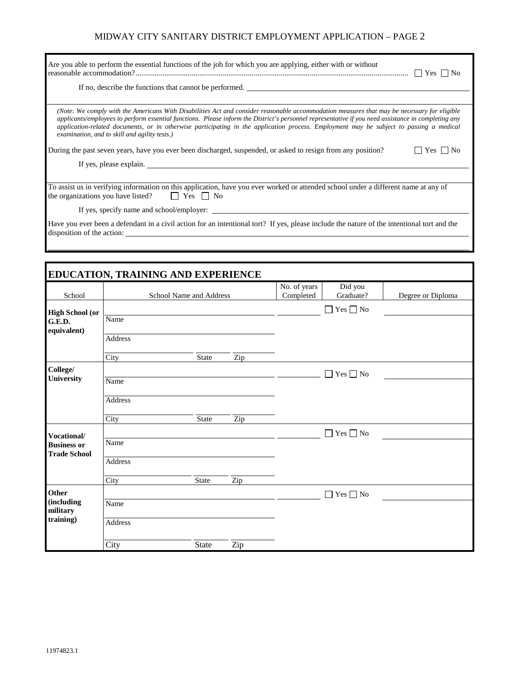### MIDWAY CITY SANITARY DISTRICT EMPLOYMENT APPLICATION – PAGE 2

| Are you able to perform the essential functions of the job for which you are applying, either with or without                                                                                                                                                                                                                                                                                                                                                                                  |
|------------------------------------------------------------------------------------------------------------------------------------------------------------------------------------------------------------------------------------------------------------------------------------------------------------------------------------------------------------------------------------------------------------------------------------------------------------------------------------------------|
| If no, describe the functions that cannot be performed.                                                                                                                                                                                                                                                                                                                                                                                                                                        |
|                                                                                                                                                                                                                                                                                                                                                                                                                                                                                                |
| (Note: We comply with the Americans With Disabilities Act and consider reasonable accommodation measures that may be necessary for eligible<br>applicants/employees to perform essential functions. Please inform the District's personnel representative if you need assistance in completing any<br>application-related documents, or in otherwise participating in the application process. Employment may be subject to passing a medical<br>examination, and to skill and agility tests.) |
| During the past seven years, have you ever been discharged, suspended, or asked to resign from any position?<br>Yes     No                                                                                                                                                                                                                                                                                                                                                                     |
|                                                                                                                                                                                                                                                                                                                                                                                                                                                                                                |
|                                                                                                                                                                                                                                                                                                                                                                                                                                                                                                |
| To assist us in verifying information on this application, have you ever worked or attended school under a different name at any of<br>the organizations you have listed? $\Box$ Yes $\Box$ No                                                                                                                                                                                                                                                                                                 |
| If yes, specify name and school/employer:                                                                                                                                                                                                                                                                                                                                                                                                                                                      |
| Have you ever been a defendant in a civil action for an intentional tort? If yes, please include the nature of the intentional tort and the<br>disposition of the action:                                                                                                                                                                                                                                                                                                                      |

| School                                          |                | School Name and Address |                  | No. of years<br>Completed | Did you<br>Graduate?           | Degree or Diploma |
|-------------------------------------------------|----------------|-------------------------|------------------|---------------------------|--------------------------------|-------------------|
|                                                 |                |                         |                  |                           | Yes $\Box$ No<br>$\mathcal{L}$ |                   |
| <b>High School (or</b><br>G.E.D.<br>equivalent) | Name           |                         |                  |                           |                                |                   |
|                                                 | <b>Address</b> |                         |                  |                           |                                |                   |
|                                                 | City           | <b>State</b>            | Zip              |                           |                                |                   |
| College/                                        |                |                         |                  |                           | $Yes \Box No$<br>$\Box$        |                   |
| University                                      | Name           |                         |                  |                           |                                |                   |
|                                                 | Address        |                         |                  |                           |                                |                   |
|                                                 | City           | State                   | Zip              |                           |                                |                   |
| Vocational/                                     |                |                         |                  |                           | $\Box$ Yes $\Box$ No           |                   |
| <b>Business or</b><br><b>Trade School</b>       | Name           |                         |                  |                           |                                |                   |
|                                                 | <b>Address</b> |                         |                  |                           |                                |                   |
|                                                 | City           | <b>State</b>            | $\overline{Zip}$ |                           |                                |                   |
| Other                                           |                |                         |                  |                           | Yes $\Box$ No<br>$\Box$        |                   |
| (including<br>military                          | Name           |                         |                  |                           |                                |                   |
| training)                                       | Address        |                         |                  |                           |                                |                   |
|                                                 | City           | State                   | Zip              |                           |                                |                   |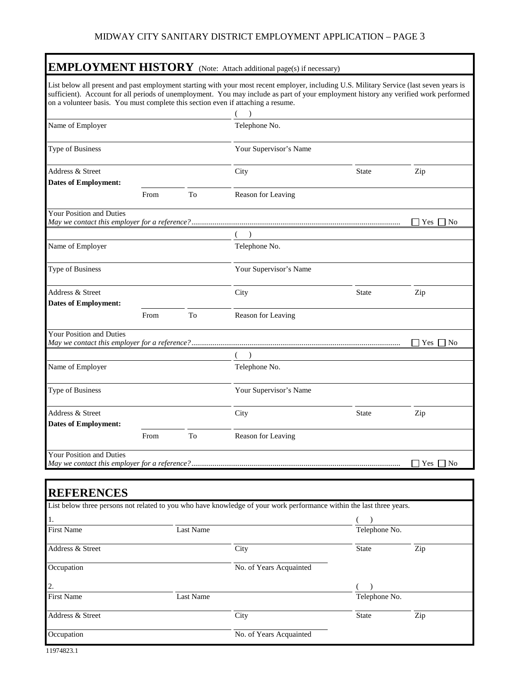## MIDWAY CITY SANITARY DISTRICT EMPLOYMENT APPLICATION – PAGE 3

|                                                                                  |      |    | <b>EMPLOYMENT HISTORY</b> (Note: Attach additional page(s) if necessary)                                                                                                                                                                                                         |              |                  |
|----------------------------------------------------------------------------------|------|----|----------------------------------------------------------------------------------------------------------------------------------------------------------------------------------------------------------------------------------------------------------------------------------|--------------|------------------|
| on a volunteer basis. You must complete this section even if attaching a resume. |      |    | List below all present and past employment starting with your most recent employer, including U.S. Military Service (last seven years is<br>sufficient). Account for all periods of unemployment. You may include as part of your employment history any verified work performed |              |                  |
| Name of Employer                                                                 |      |    | Telephone No.                                                                                                                                                                                                                                                                    |              |                  |
| Type of Business                                                                 |      |    | Your Supervisor's Name                                                                                                                                                                                                                                                           |              |                  |
| Address & Street                                                                 |      |    | City                                                                                                                                                                                                                                                                             | <b>State</b> | Zip              |
| <b>Dates of Employment:</b>                                                      | From | To | Reason for Leaving                                                                                                                                                                                                                                                               |              |                  |
| <b>Your Position and Duties</b>                                                  |      |    |                                                                                                                                                                                                                                                                                  |              | Yes<br>No        |
|                                                                                  |      |    |                                                                                                                                                                                                                                                                                  |              |                  |
| Name of Employer                                                                 |      |    | Telephone No.                                                                                                                                                                                                                                                                    |              |                  |
| Type of Business                                                                 |      |    | Your Supervisor's Name                                                                                                                                                                                                                                                           |              |                  |
| Address & Street<br><b>Dates of Employment:</b>                                  |      |    | City                                                                                                                                                                                                                                                                             | State        | Zip              |
|                                                                                  | From | To | Reason for Leaving                                                                                                                                                                                                                                                               |              |                  |
| <b>Your Position and Duties</b>                                                  |      |    |                                                                                                                                                                                                                                                                                  |              | $ $   Yes     No |
|                                                                                  |      |    |                                                                                                                                                                                                                                                                                  |              |                  |
| Name of Employer                                                                 |      |    | Telephone No.                                                                                                                                                                                                                                                                    |              |                  |
| Type of Business                                                                 |      |    | Your Supervisor's Name                                                                                                                                                                                                                                                           |              |                  |
| Address & Street<br><b>Dates of Employment:</b>                                  |      |    | City                                                                                                                                                                                                                                                                             | <b>State</b> | Zip              |
|                                                                                  | From | To | Reason for Leaving                                                                                                                                                                                                                                                               |              |                  |
| Your Position and Duties                                                         |      |    |                                                                                                                                                                                                                                                                                  |              | Yes<br>T No      |

| <b>REFERENCES</b> |                  |                                                                                                                      |               |     |  |
|-------------------|------------------|----------------------------------------------------------------------------------------------------------------------|---------------|-----|--|
|                   |                  | List below three persons not related to you who have knowledge of your work performance within the last three years. |               |     |  |
| 1.                |                  |                                                                                                                      |               |     |  |
| <b>First Name</b> | <b>Last Name</b> |                                                                                                                      | Telephone No. |     |  |
| Address & Street  |                  | City                                                                                                                 | State         | Zip |  |
| Occupation        |                  | No. of Years Acquainted                                                                                              |               |     |  |
| 2.                |                  |                                                                                                                      |               |     |  |
| <b>First Name</b> | <b>Last Name</b> |                                                                                                                      | Telephone No. |     |  |
| Address & Street  |                  | City                                                                                                                 | <b>State</b>  | Zip |  |
| Occupation        |                  | No. of Years Acquainted                                                                                              |               |     |  |

Г